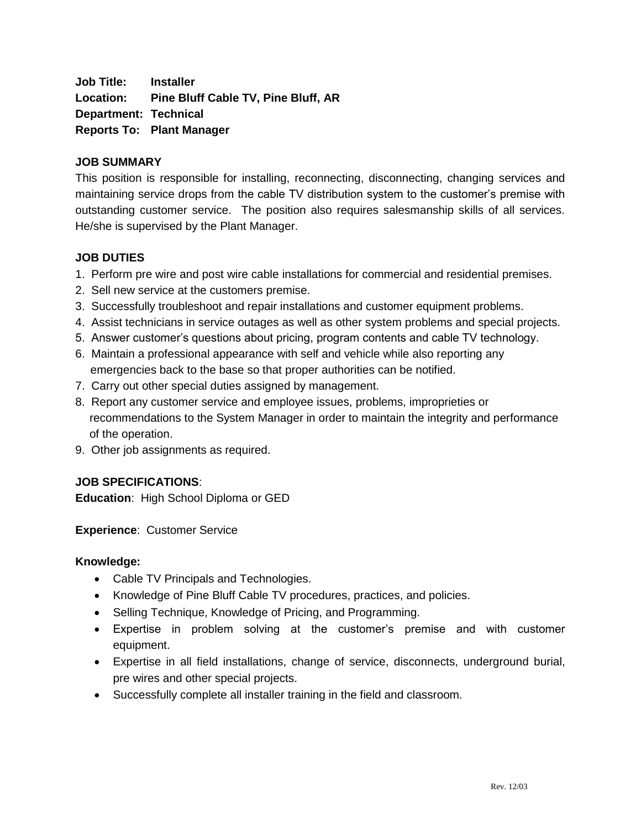**Job Title: Installer Location: Pine Bluff Cable TV, Pine Bluff, AR Department: Technical Reports To: Plant Manager**

### **JOB SUMMARY**

This position is responsible for installing, reconnecting, disconnecting, changing services and maintaining service drops from the cable TV distribution system to the customer's premise with outstanding customer service. The position also requires salesmanship skills of all services. He/she is supervised by the Plant Manager.

## **JOB DUTIES**

- 1. Perform pre wire and post wire cable installations for commercial and residential premises.
- 2. Sell new service at the customers premise.
- 3. Successfully troubleshoot and repair installations and customer equipment problems.
- 4. Assist technicians in service outages as well as other system problems and special projects.
- 5. Answer customer's questions about pricing, program contents and cable TV technology.
- 6. Maintain a professional appearance with self and vehicle while also reporting any emergencies back to the base so that proper authorities can be notified.
- 7. Carry out other special duties assigned by management.
- 8. Report any customer service and employee issues, problems, improprieties or recommendations to the System Manager in order to maintain the integrity and performance of the operation.
- 9. Other job assignments as required.

# **JOB SPECIFICATIONS**:

**Education**: High School Diploma or GED

**Experience**: Customer Service

#### **Knowledge:**

- Cable TV Principals and Technologies.
- Knowledge of Pine Bluff Cable TV procedures, practices, and policies.
- Selling Technique, Knowledge of Pricing, and Programming.
- Expertise in problem solving at the customer's premise and with customer equipment.
- Expertise in all field installations, change of service, disconnects, underground burial, pre wires and other special projects.
- Successfully complete all installer training in the field and classroom.